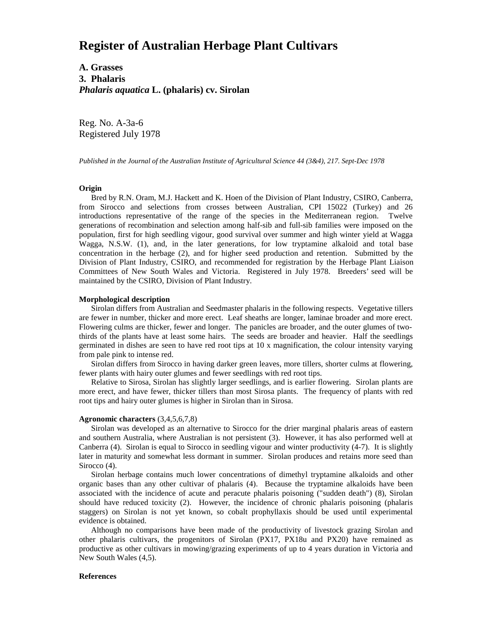# **Register of Australian Herbage Plant Cultivars**

**A. Grasses 3. Phalaris** *Phalaris aquatica* **L. (phalaris) cv. Sirolan**

Reg. No. A-3a-6 Registered July 1978

*Published in the Journal of the Australian Institute of Agricultural Science 44 (3&4), 217. Sept-Dec 1978*

## **Origin**

 Bred by R.N. Oram, M.J. Hackett and K. Hoen of the Division of Plant Industry, CSIRO, Canberra, from Sirocco and selections from crosses between Australian, CPI 15022 (Turkey) and 26 introductions representative of the range of the species in the Mediterranean region. Twelve generations of recombination and selection among half-sib and full-sib families were imposed on the population, first for high seedling vigour, good survival over summer and high winter yield at Wagga Wagga, N.S.W. (1), and, in the later generations, for low tryptamine alkaloid and total base concentration in the herbage (2), and for higher seed production and retention. Submitted by the Division of Plant Industry, CSIRO, and recommended for registration by the Herbage Plant Liaison Committees of New South Wales and Victoria. Registered in July 1978. Breeders' seed will be maintained by the CSIRO, Division of Plant Industry.

### **Morphological description**

 Sirolan differs from Australian and Seedmaster phalaris in the following respects. Vegetative tillers are fewer in number, thicker and more erect. Leaf sheaths are longer, laminae broader and more erect. Flowering culms are thicker, fewer and longer. The panicles are broader, and the outer glumes of twothirds of the plants have at least some hairs. The seeds are broader and heavier. Half the seedlings germinated in dishes are seen to have red root tips at 10 x magnification, the colour intensity varying from pale pink to intense red.

 Sirolan differs from Sirocco in having darker green leaves, more tillers, shorter culms at flowering, fewer plants with hairy outer glumes and fewer seedlings with red root tips.

 Relative to Sirosa, Sirolan has slightly larger seedlings, and is earlier flowering. Sirolan plants are more erect, and have fewer, thicker tillers than most Sirosa plants. The frequency of plants with red root tips and hairy outer glumes is higher in Sirolan than in Sirosa.

#### **Agronomic characters** (3,4,5,6,7,8)

 Sirolan was developed as an alternative to Sirocco for the drier marginal phalaris areas of eastern and southern Australia, where Australian is not persistent (3). However, it has also performed well at Canberra (4). Sirolan is equal to Sirocco in seedling vigour and winter productivity (4-7). It is slightly later in maturity and somewhat less dormant in summer. Sirolan produces and retains more seed than Sirocco (4).

 Sirolan herbage contains much lower concentrations of dimethyl tryptamine alkaloids and other organic bases than any other cultivar of phalaris (4). Because the tryptamine alkaloids have been associated with the incidence of acute and peracute phalaris poisoning ("sudden death") (8), Sirolan should have reduced toxicity (2). However, the incidence of chronic phalaris poisoning (phalaris staggers) on Sirolan is not yet known, so cobalt prophyllaxis should be used until experimental evidence is obtained.

 Although no comparisons have been made of the productivity of livestock grazing Sirolan and other phalaris cultivars, the progenitors of Sirolan (PX17, PX18u and PX20) have remained as productive as other cultivars in mowing/grazing experiments of up to 4 years duration in Victoria and New South Wales (4,5).

## **References**